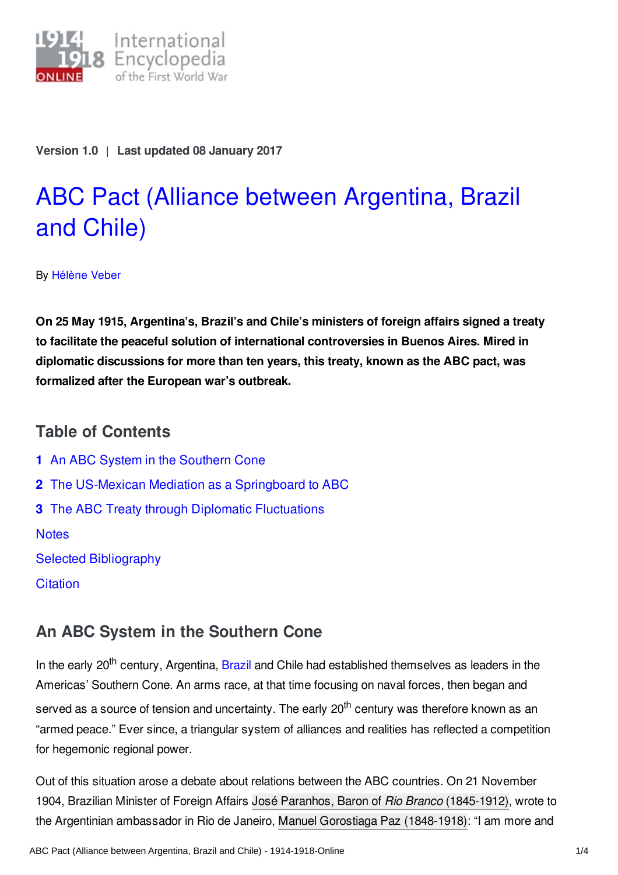

**Version 1.0** | **Last updated 08 January 2017**

# ABC Pact (Alliance between [Argentina,](http://encyclopedia.1914-1918-online.net/article/abc_pact_alliance_between_argentina_brazil_and_chile) Brazil and Chile)

By [Hélène](http://encyclopedia.1914-1918-online.net/contributors/Helene_Veber) Veber

**On 25 May 1915, Argentina's, Brazil's and Chile's ministers of foreign affairs signed a treaty to facilitate the peaceful solution of international controversies in Buenos Aires. Mired in diplomatic discussions for more than ten years, this treaty, known as the ABC pact, was formalized after the European war's outbreak.**

### **Table of Contents**

**1** An ABC System in the [Southern](#page-0-0) Cone **2** The US-Mexican Mediation as a [Springboard](#page-1-0) to ABC **3** The ABC Treaty through Diplomatic [Fluctuations](#page-1-1) **[Notes](#page-2-0)** Selected [Bibliography](#page-2-1) **[Citation](#page-3-0)** 

# <span id="page-0-0"></span>**An ABC System in the Southern Cone**

In the early 20<sup>th</sup> century, Argentina, [Brazil](http://encyclopedia.1914-1918-online.net/article/brazil) and Chile had established themselves as leaders in the Americas' Southern Cone. An arms race, at that time focusing on naval forces, then began and served as a source of tension and uncertainty. The early 20<sup>th</sup> century was therefore known as an "armed peace." Ever since, a triangular system of alliances and realities has reflected a competition for hegemonic regional power.

Out of this situation arose a debate about relations between the ABC countries. On 21 November 1904, Brazilian Minister of Foreign Affairs José Paranhos, Baron of *Rio Branco* [\(1845-1912\)](http://encyclopedia.1914-1918-online.net/index/names/132370980), wrote to the Argentinian ambassador in Rio de Janeiro, Manuel Gorostiaga Paz [\(1848-1918\)](http://encyclopedia.1914-1918-online.net/index/names/1053506562): "I am more and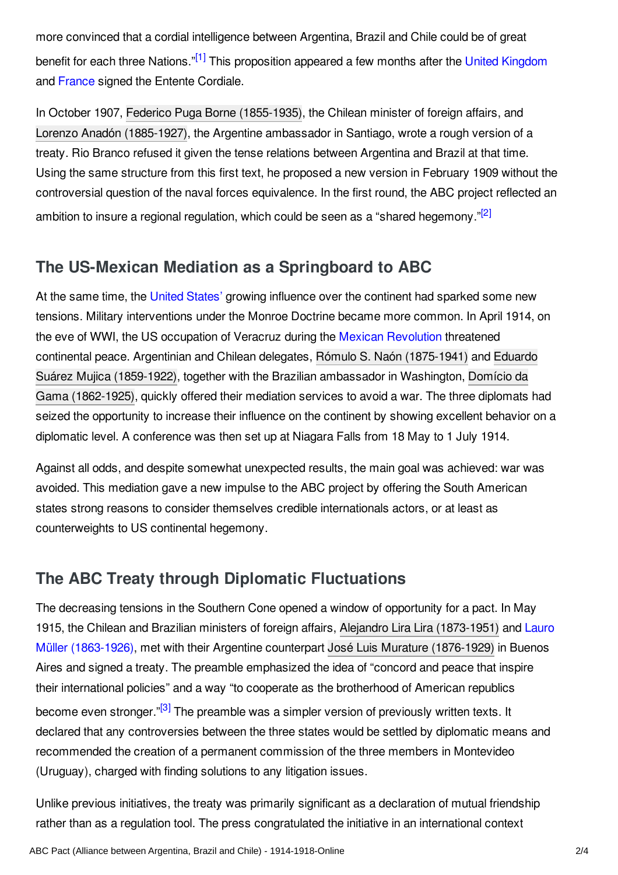<span id="page-1-2"></span>more convinced that a cordial intelligence between Argentina, Brazil and Chile could be of great benefit for each three Nations."<sup>[\[1\]](#page-2-2)</sup> This proposition appeared a few months after the United [Kingdom](http://encyclopedia.1914-1918-online.net/article/great_britain) and [France](http://encyclopedia.1914-1918-online.net/article/france) signed the Entente Cordiale.

In October 1907, Federico Puga Borne [\(1855-1935\)](http://encyclopedia.1914-1918-online.net/index/names/1053522886), the Chilean minister of foreign affairs, and Lorenzo Anadón [\(1885-1927\)](http://encyclopedia.1914-1918-online.net/index/names/1053525974), the Argentine ambassador in Santiago, wrote a rough version of a treaty. Rio Branco refused it given the tense relations between Argentina and Brazil at that time. Using the same structure from this first text, he proposed a new version in February 1909 without the controversial question of the naval forces equivalence. In the first round, the ABC project reflected an ambition to insure a regional regulation, which could be seen as a "shared hegemony."<sup>[\[2\]](#page-2-3)</sup>

## <span id="page-1-3"></span><span id="page-1-0"></span>**The US-Mexican Mediation as a Springboard to ABC**

At the same time, the United [States'](http://encyclopedia.1914-1918-online.net/article/united_states_of_america) growing influence over the continent had sparked some new tensions. Military interventions under the Monroe Doctrine became more common. In April 1914, on the eve of WWI, the US occupation of Veracruz during the Mexican [Revolution](http://encyclopedia.1914-1918-online.net/article/mexican_revolution) threatened continental peace. Argentinian and Chilean delegates, Rómulo S. Naón [\(1875-1941\)](http://encyclopedia.1914-1918-online.net/index/names/1053526431) and Eduardo Suárez Mujica [\(1859-1922\),](http://encyclopedia.1914-1918-online.net/index/names/105352742X) together with the Brazilian ambassador in Washington, Domício da Gama (1862-1925), quickly offered their mediation services to avoid a war. The three diplomats had seized the opportunity to increase their influence on the continent by showing excellent behavior on a diplomatic level. A conference was then set up at Niagara Falls from 18 May to 1 July 1914.

Against all odds, and despite somewhat unexpected results, the main goal was achieved: war was avoided. This mediation gave a new impulse to the ABC project by offering the South American states strong reasons to consider themselves credible internationals actors, or at least as counterweights to US continental hegemony.

## <span id="page-1-1"></span>**The ABC Treaty through Diplomatic Fluctuations**

The decreasing tensions in the Southern Cone opened a window of opportunity for a pact. In May 1915, the Chilean and Brazilian ministers of foreign affairs, Alejandro Lira Lira [\(1873-1951\)](http://encyclopedia.1914-1918-online.net/index/names/1053532156) and Lauro Müller [\(1863-1926\),](http://encyclopedia.1914-1918-online.net/article/muller_lauro) met with their Argentine counterpart José Luis Murature [\(1876-1929\)](http://encyclopedia.1914-1918-online.net/index/names/1053532881) in Buenos Aires and signed a treaty. The preamble emphasized the idea of "concord and peace that inspire their international policies" and a way "to cooperate as the brotherhood of American republics become even stronger."<sup>[\[3\]](#page-2-4)</sup> The preamble was a simpler version of previously written texts. It declared that any controversies between the three states would be settled by diplomatic means and recommended the creation of a permanent commission of the three members in Montevideo (Uruguay), charged with finding solutions to any litigation issues.

<span id="page-1-4"></span>Unlike previous initiatives, the treaty was primarily significant as a declaration of mutual friendship rather than as a regulation tool. The press congratulated the initiative in an international context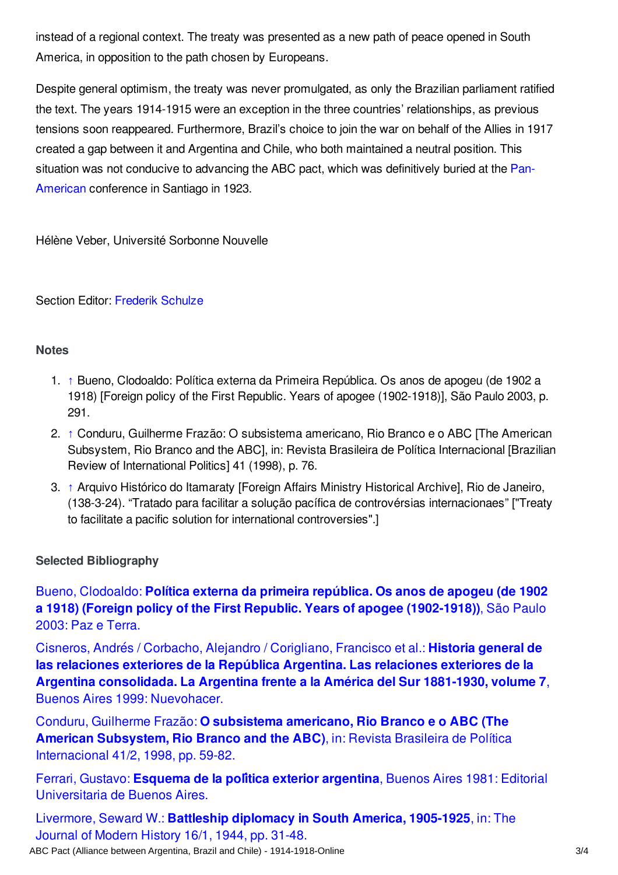instead of a regional context. The treaty was presented as a new path of peace opened in South America, in opposition to the path chosen by Europeans.

Despite general optimism, the treaty was never promulgated, as only the Brazilian parliament ratified the text. The years 1914-1915 were an exception in the three countries' relationships, as previous tensions soon reappeared. Furthermore, Brazil's choice to join the war on behalf of the Allies in 1917 created a gap between it and Argentina and Chile, who both maintained a neutral position. This situation was not conducive to advancing the ABC pact, which was definitively buried at the Pan-American [conference](http://encyclopedia.1914-1918-online.net/article/pan_americanism) in Santiago in 1923.

Hélène Veber, Université Sorbonne Nouvelle

Section Editor: [Frederik](http://encyclopedia.1914-1918-online.net/contributors/Frederik_Schulze) Schulze

#### <span id="page-2-0"></span>**Notes**

- <span id="page-2-2"></span>1. [↑](#page-1-2) Bueno, Clodoaldo: Política externa da Primeira República. Os anos de apogeu (de 1902 a 1918) [Foreign policy of the First Republic. Years of apogee (1902-1918)], São Paulo 2003, p. 291.
- <span id="page-2-3"></span>2. [↑](#page-1-3) Conduru, Guilherme Frazão: O subsistema americano, Rio Branco e o ABC [The American Subsystem, Rio Branco and the ABC], in: Revista Brasileira de Política Internacional [Brazilian Review of International Politics] 41 (1998), p. 76.
- <span id="page-2-4"></span>3. [↑](#page-1-4) Arquivo Histórico do Itamaraty [Foreign Affairs Ministry Historical Archive], Rio de Janeiro, (138-3-24). "Tratado para facilitar a solução pacífica de controvérsias internacionaes" ["Treaty to facilitate a pacific solution for international controversies".]

#### <span id="page-2-1"></span>**Selected Bibliography**

Bueno, Clodoaldo: **Política externa da primeira república. Os anos de apogeu (de 1902 a 1918) (Foreign policy of the First Republic. Years of apogee [\(1902-1918\)\)](http://encyclopedia.1914-1918-online.net/bibliography/XBMUC3AX)**, São Paulo 2003: Paz e Terra.

Cisneros, Andrés / Corbacho, Alejandro / Corigliano, Francisco et al.: **Historia general de las relaciones exteriores de la República Argentina. Las relaciones exteriores de la Argentina [consolidada.](http://encyclopedia.1914-1918-online.net/bibliography/BDD4BCZ2) La Argentina frente a la América del Sur 1881-1930, volume 7**, Buenos Aires 1999: Nuevohacer.

Conduru, Guilherme Frazão: **O subsistema americano, Rio Branco e o ABC (The American Subsystem, Rio Branco and the ABC)**, in: Revista Brasileira de Política [Internacional](http://encyclopedia.1914-1918-online.net/bibliography/E3759HND) 41/2, 1998, pp. 59-82.

Ferrari, Gustavo: **Esquema de la política exterior argentina**, Buenos Aires 1981: Editorial [Universitaria](http://encyclopedia.1914-1918-online.net/bibliography/KPWW7ZA7) de Buenos Aires.

Livermore, Seward W.: **Battleship [diplomacy](http://encyclopedia.1914-1918-online.net/bibliography/KIH2JXXD) in South America, 1905-1925**, in: The Journal of Modern History 16/1, 1944, pp. 31-48. ABC Pact (Alliance between Argentina, Brazil and Chile) - 1914-1918-Online 3/4